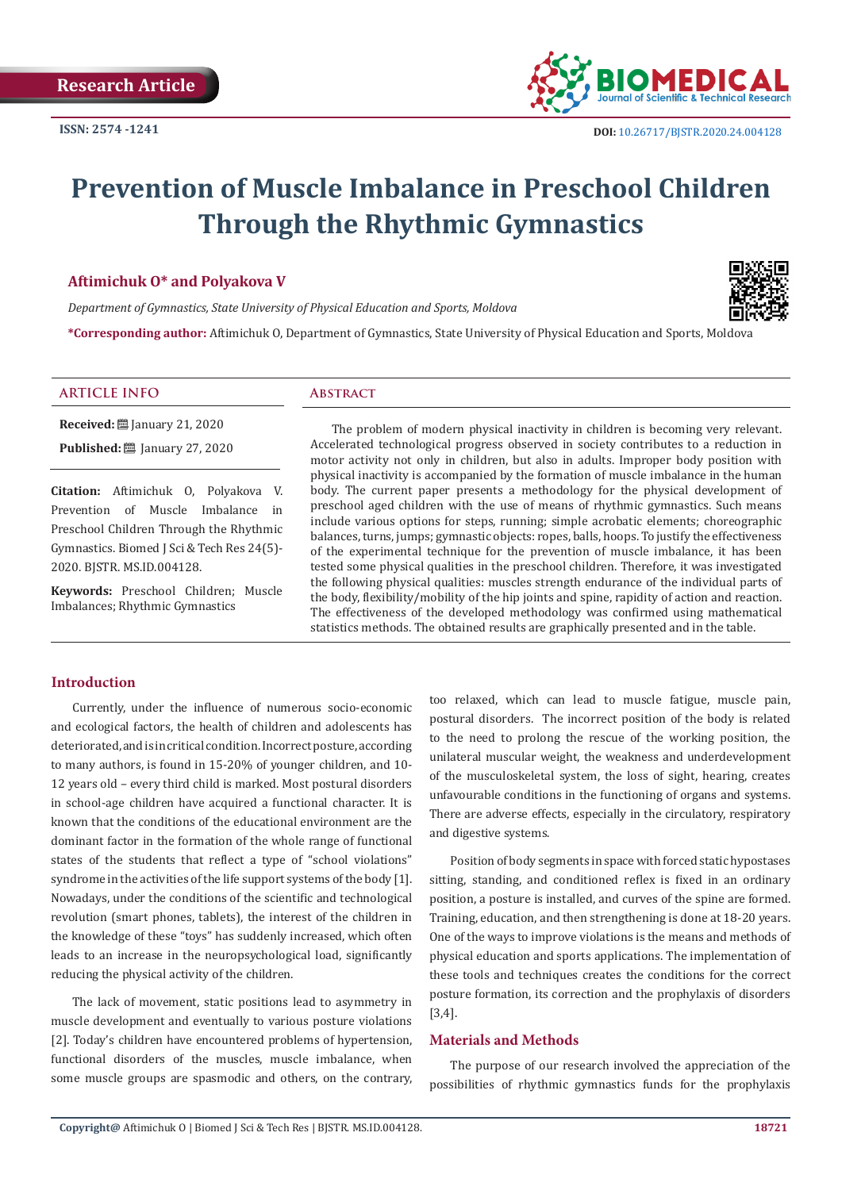

# **Prevention of Muscle Imbalance in Preschool Children Through the Rhythmic Gymnastics**

## **Aftimichuk O\* and Polyakova V**

*Department of Gymnastics, State University of Physical Education and Sports, Moldova*



**\*Corresponding author:** Aftimichuk O, Department of Gymnastics, State University of Physical Education and Sports, Moldova

# **ARTICLE INFO Abstract**

**Received:** ■ January 21, 2020 **Published:** ■ January 27, 2020

**Citation:** Aftimichuk O, Polyakova V. Prevention of Muscle Imbalance in Preschool Children Through the Rhythmic Gymnastics. Biomed J Sci & Tech Res 24(5)- 2020. BJSTR. MS.ID.004128.

**Keywords:** Preschool Children; Muscle Imbalances; Rhythmic Gymnastics

The problem of modern physical inactivity in children is becoming very relevant. Accelerated technological progress observed in society contributes to a reduction in motor activity not only in children, but also in adults. Improper body position with physical inactivity is accompanied by the formation of muscle imbalance in the human body. The current paper presents a methodology for the physical development of preschool aged children with the use of means of rhythmic gymnastics. Such means include various options for steps, running; simple acrobatic elements; choreographic balances, turns, jumps; gymnastic objects: ropes, balls, hoops. To justify the effectiveness of the experimental technique for the prevention of muscle imbalance, it has been tested some physical qualities in the preschool children. Therefore, it was investigated the following physical qualities: muscles strength endurance of the individual parts of the body, flexibility/mobility of the hip joints and spine, rapidity of action and reaction. The effectiveness of the developed methodology was confirmed using mathematical statistics methods. The obtained results are graphically presented and in the table.

## **Introduction**

Currently, under the influence of numerous socio-economic and ecological factors, the health of children and adolescents has deteriorated, and is in critical condition. Incorrect posture, according to many authors, is found in 15-20% of younger children, and 10- 12 years old – every third child is marked. Most postural disorders in school-age children have acquired a functional character. It is known that the conditions of the educational environment are the dominant factor in the formation of the whole range of functional states of the students that reflect a type of "school violations" syndrome in the activities of the life support systems of the body [1]. Nowadays, under the conditions of the scientific and technological revolution (smart phones, tablets), the interest of the children in the knowledge of these "toys" has suddenly increased, which often leads to an increase in the neuropsychological load, significantly reducing the physical activity of the children.

The lack of movement, static positions lead to asymmetry in muscle development and eventually to various posture violations [2]. Today's children have encountered problems of hypertension, functional disorders of the muscles, muscle imbalance, when some muscle groups are spasmodic and others, on the contrary, too relaxed, which can lead to muscle fatigue, muscle pain, postural disorders. The incorrect position of the body is related to the need to prolong the rescue of the working position, the unilateral muscular weight, the weakness and underdevelopment of the musculoskeletal system, the loss of sight, hearing, creates unfavourable conditions in the functioning of organs and systems. There are adverse effects, especially in the circulatory, respiratory and digestive systems.

Position of body segments in space with forced static hypostases sitting, standing, and conditioned reflex is fixed in an ordinary position, a posture is installed, and curves of the spine are formed. Training, education, and then strengthening is done at 18-20 years. One of the ways to improve violations is the means and methods of physical education and sports applications. The implementation of these tools and techniques creates the conditions for the correct posture formation, its correction and the prophylaxis of disorders [3,4].

## **Materials and Methods**

The purpose of our research involved the appreciation of the possibilities of rhythmic gymnastics funds for the prophylaxis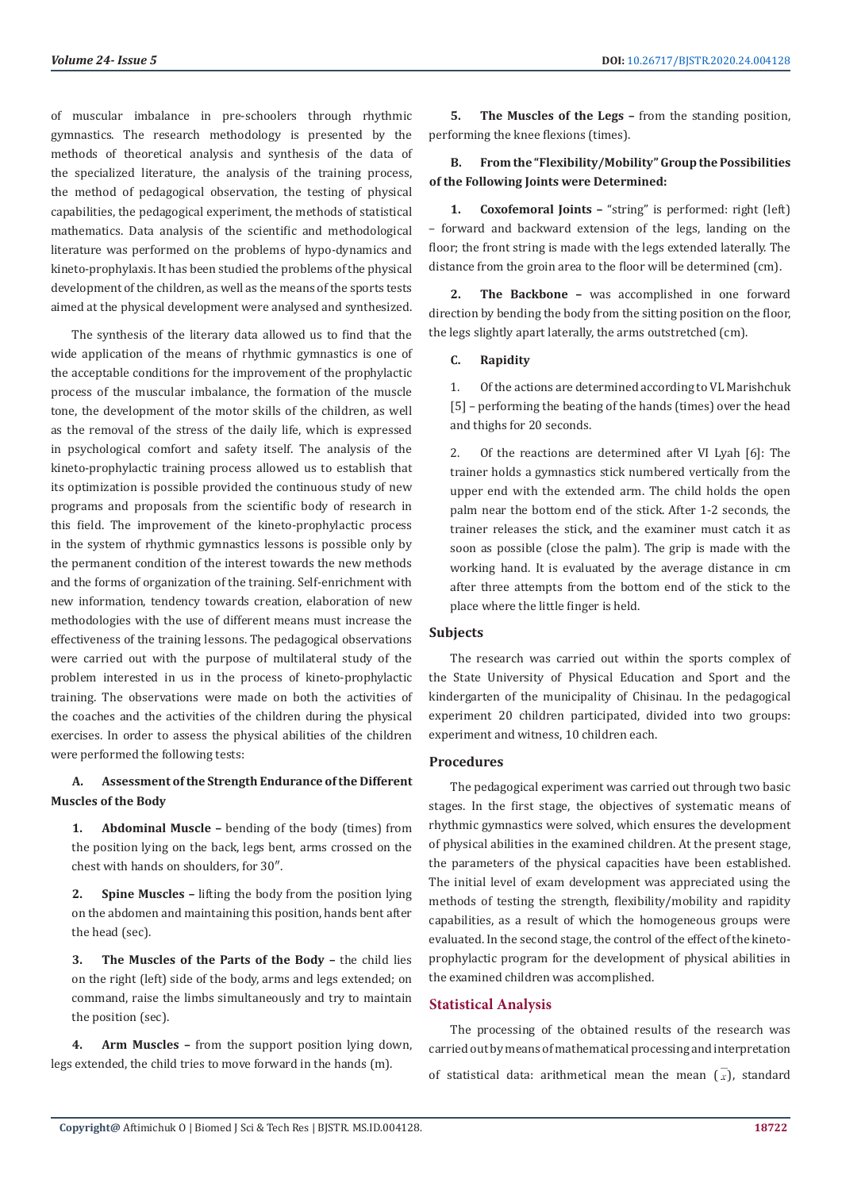of muscular imbalance in pre-schoolers through rhythmic gymnastics. The research methodology is presented by the methods of theoretical analysis and synthesis of the data of the specialized literature, the analysis of the training process, the method of pedagogical observation, the testing of physical capabilities, the pedagogical experiment, the methods of statistical mathematics. Data analysis of the scientific and methodological literature was performed on the problems of hypo-dynamics and kineto-prophylaxis. It has been studied the problems of the physical development of the children, as well as the means of the sports tests aimed at the physical development were analysed and synthesized.

The synthesis of the literary data allowed us to find that the wide application of the means of rhythmic gymnastics is one of the acceptable conditions for the improvement of the prophylactic process of the muscular imbalance, the formation of the muscle tone, the development of the motor skills of the children, as well as the removal of the stress of the daily life, which is expressed in psychological comfort and safety itself. The analysis of the kineto-prophylactic training process allowed us to establish that its optimization is possible provided the continuous study of new programs and proposals from the scientific body of research in this field. The improvement of the kineto-prophylactic process in the system of rhythmic gymnastics lessons is possible only by the permanent condition of the interest towards the new methods and the forms of organization of the training. Self-enrichment with new information, tendency towards creation, elaboration of new methodologies with the use of different means must increase the effectiveness of the training lessons. The pedagogical observations were carried out with the purpose of multilateral study of the problem interested in us in the process of kineto-prophylactic training. The observations were made on both the activities of the coaches and the activities of the children during the physical exercises. In order to assess the physical abilities of the children were performed the following tests:

# **A. Assessment of the Strength Endurance of the Different Muscles of the Body**

**1. Abdominal Muscle –** bending of the body (times) from the position lying on the back, legs bent, arms crossed on the chest with hands on shoulders, for 30″.

**2. Spine Muscles –** lifting the body from the position lying on the abdomen and maintaining this position, hands bent after the head (sec).

**3. The Muscles of the Parts of the Body –** the child lies on the right (left) side of the body, arms and legs extended; on command, raise the limbs simultaneously and try to maintain the position (sec).

**4. Arm Muscles –** from the support position lying down, legs extended, the child tries to move forward in the hands (m).

**5. The Muscles of the Legs –** from the standing position, performing the knee flexions (times).

# **B. From the "Flexibility/Mobility" Group the Possibilities of the Following Joints were Determined:**

**1. Coxofemoral Joints –** "string" is performed: right (left) – forward and backward extension of the legs, landing on the floor; the front string is made with the legs extended laterally. The distance from the groin area to the floor will be determined (cm).

**2. The Backbone –** was accomplished in one forward direction by bending the body from the sitting position on the floor, the legs slightly apart laterally, the arms outstretched (cm).

#### **C. Rapidity**

1. Of the actions are determined according to VL Marishchuk [5] – performing the beating of the hands (times) over the head and thighs for 20 seconds.

2. Of the reactions are determined after VI Lyah [6]: The trainer holds a gymnastics stick numbered vertically from the upper end with the extended arm. The child holds the open palm near the bottom end of the stick. After 1-2 seconds, the trainer releases the stick, and the examiner must catch it as soon as possible (close the palm). The grip is made with the working hand. It is evaluated by the average distance in cm after three attempts from the bottom end of the stick to the place where the little finger is held.

## **Subjects**

The research was carried out within the sports complex of the State University of Physical Education and Sport and the kindergarten of the municipality of Chisinau. In the pedagogical experiment 20 children participated, divided into two groups: experiment and witness, 10 children each.

#### **Procedures**

The pedagogical experiment was carried out through two basic stages. In the first stage, the objectives of systematic means of rhythmic gymnastics were solved, which ensures the development of physical abilities in the examined children. At the present stage, the parameters of the physical capacities have been established. The initial level of exam development was appreciated using the methods of testing the strength, flexibility/mobility and rapidity capabilities, as a result of which the homogeneous groups were evaluated. In the second stage, the control of the effect of the kinetoprophylactic program for the development of physical abilities in the examined children was accomplished.

#### **Statistical Analysis**

The processing of the obtained results of the research was carried out by means of mathematical processing and interpretation of statistical data: arithmetical mean the mean  $(\bar{x})$ , standard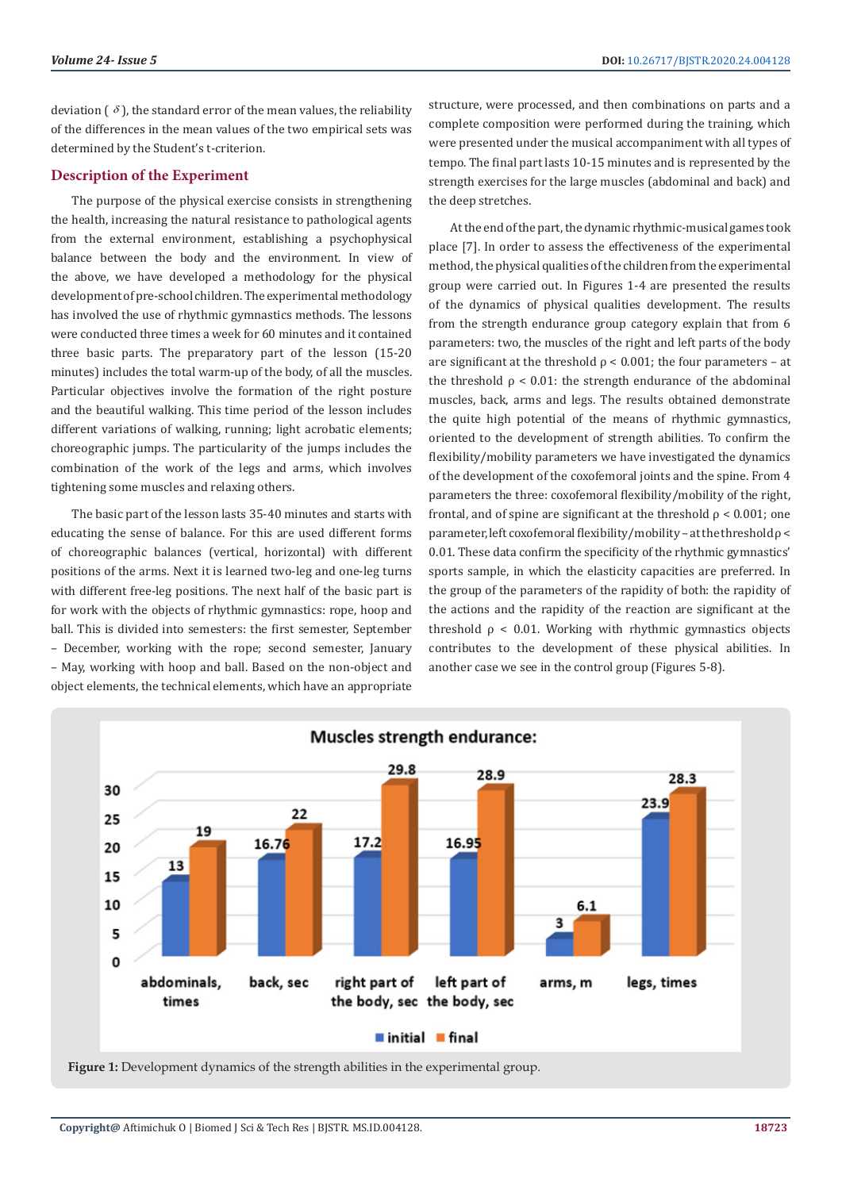deviation  $\left( \delta \right)$ , the standard error of the mean values, the reliability of the differences in the mean values of the two empirical sets was determined by the Student's t-criterion.

#### **Description of the Experiment**

The purpose of the physical exercise consists in strengthening the health, increasing the natural resistance to pathological agents from the external environment, establishing a psychophysical balance between the body and the environment. In view of the above, we have developed a methodology for the physical development of pre-school children. The experimental methodology has involved the use of rhythmic gymnastics methods. The lessons were conducted three times a week for 60 minutes and it contained three basic parts. The preparatory part of the lesson (15-20 minutes) includes the total warm-up of the body, of all the muscles. Particular objectives involve the formation of the right posture and the beautiful walking. This time period of the lesson includes different variations of walking, running; light acrobatic elements; choreographic jumps. The particularity of the jumps includes the combination of the work of the legs and arms, which involves tightening some muscles and relaxing others.

The basic part of the lesson lasts 35-40 minutes and starts with educating the sense of balance. For this are used different forms of choreographic balances (vertical, horizontal) with different positions of the arms. Next it is learned two-leg and one-leg turns with different free-leg positions. The next half of the basic part is for work with the objects of rhythmic gymnastics: rope, hoop and ball. This is divided into semesters: the first semester, September – December, working with the rope; second semester, January – May, working with hoop and ball. Based on the non-object and object elements, the technical elements, which have an appropriate

structure, were processed, and then combinations on parts and a complete composition were performed during the training, which were presented under the musical accompaniment with all types of tempo. The final part lasts 10-15 minutes and is represented by the strength exercises for the large muscles (abdominal and back) and the deep stretches.

At the end of the part, the dynamic rhythmic-musical games took place [7]. In order to assess the effectiveness of the experimental method, the physical qualities of the children from the experimental group were carried out. In Figures 1-4 are presented the results of the dynamics of physical qualities development. The results from the strength endurance group category explain that from 6 parameters: two, the muscles of the right and left parts of the body are significant at the threshold  $\rho < 0.001$ ; the four parameters – at the threshold  $\rho < 0.01$ ; the strength endurance of the abdominal muscles, back, arms and legs. The results obtained demonstrate the quite high potential of the means of rhythmic gymnastics, oriented to the development of strength abilities. To confirm the flexibility/mobility parameters we have investigated the dynamics of the development of the coxofemoral joints and the spine. From 4 parameters the three: coxofemoral flexibility/mobility of the right, frontal, and of spine are significant at the threshold  $\rho < 0.001$ ; one parameter, left coxofemoral flexibility/mobility – at the threshold  $\rho$  < 0.01. These data confirm the specificity of the rhythmic gymnastics' sports sample, in which the elasticity capacities are preferred. In the group of the parameters of the rapidity of both: the rapidity of the actions and the rapidity of the reaction are significant at the threshold  $\rho < 0.01$ . Working with rhythmic gymnastics objects contributes to the development of these physical abilities. In another case we see in the control group (Figures 5-8).



**Figure 1:** Development dynamics of the strength abilities in the experimental group.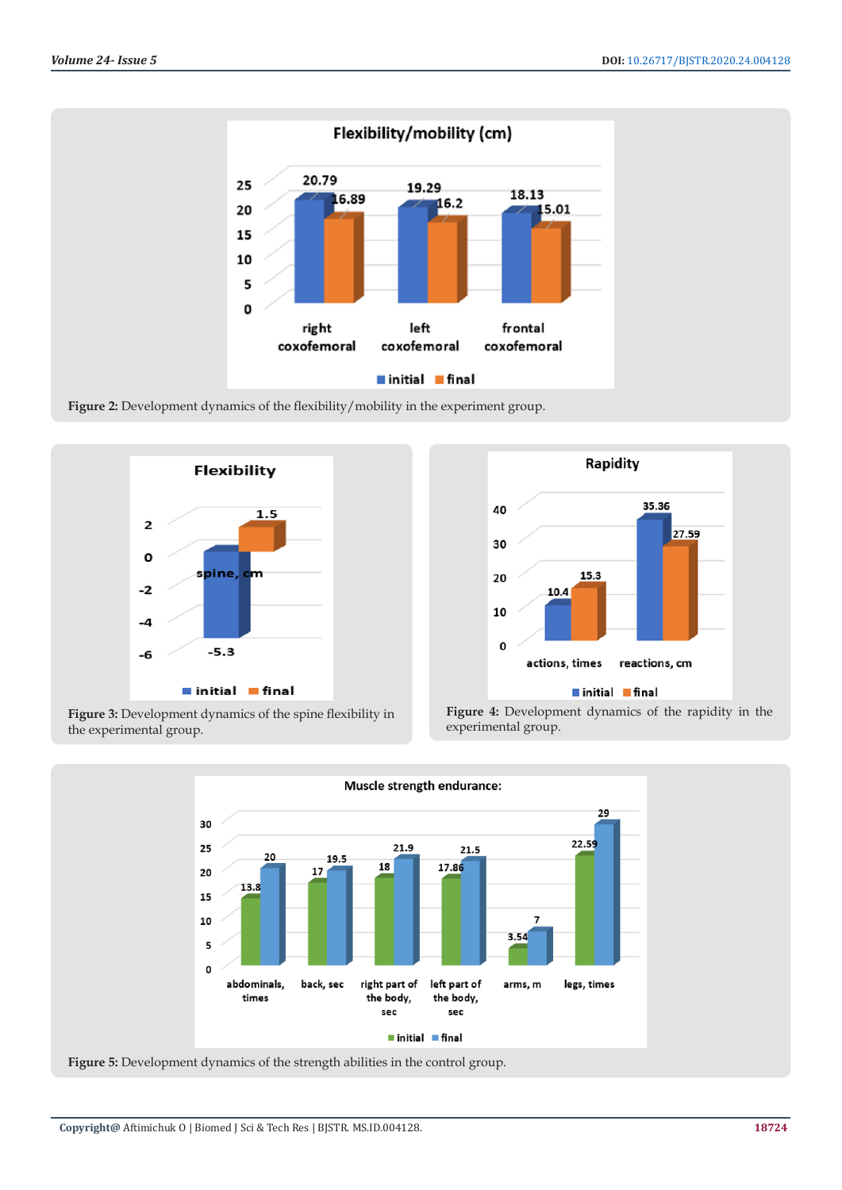

Figure 2: Development dynamics of the flexibility/mobility in the experiment group.





Figure 3: Development dynamics of the spine flexibility in the experimental group.





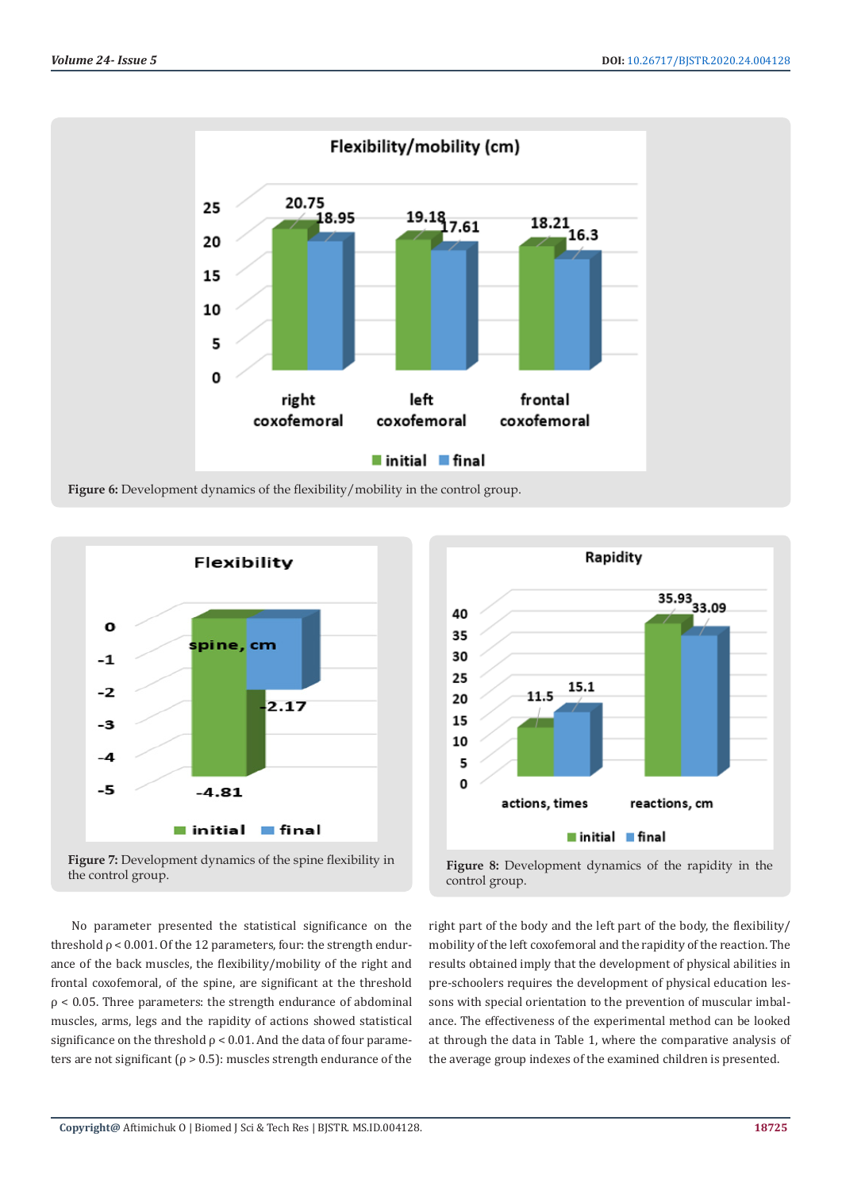











No parameter presented the statistical significance on the threshold  $\rho$  < 0.001. Of the 12 parameters, four: the strength endurance of the back muscles, the flexibility/mobility of the right and frontal coxofemoral, of the spine, are significant at the threshold  $p < 0.05$ . Three parameters: the strength endurance of abdominal muscles, arms, legs and the rapidity of actions showed statistical significance on the threshold  $\rho$  < 0.01. And the data of four parameters are not significant ( $\rho > 0.5$ ): muscles strength endurance of the

right part of the body and the left part of the body, the flexibility/ mobility of the left coxofemoral and the rapidity of the reaction. The results obtained imply that the development of physical abilities in pre-schoolers requires the development of physical education lessons with special orientation to the prevention of muscular imbalance. The effectiveness of the experimental method can be looked at through the data in Table 1, where the comparative analysis of the average group indexes of the examined children is presented.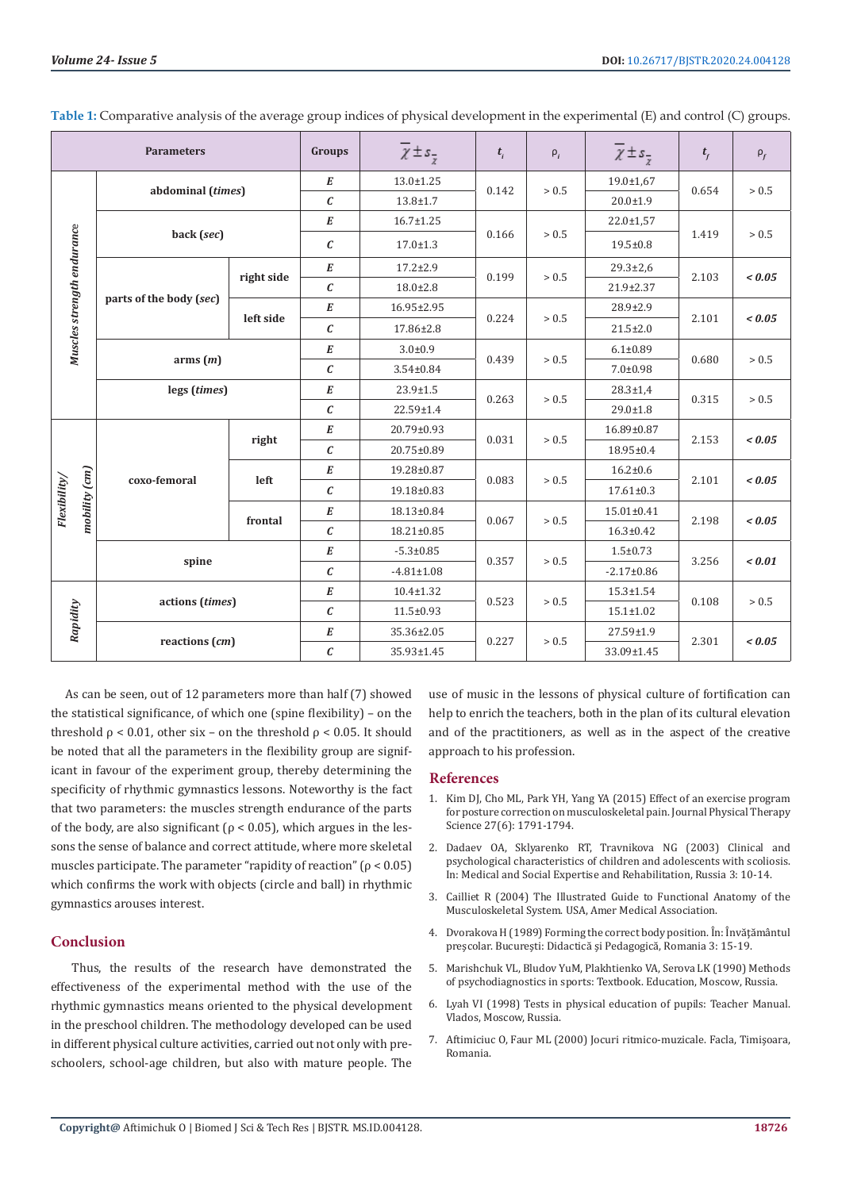| <b>Parameters</b>             |                         |            | Groups              | $\overline{\chi} \pm s_{\overline{z}}$ | $t_i$ | $\rho_i$ | $\overline{\chi} \pm s$ <sub>7</sub> | $t_{f}$ | $\rho_f$ |
|-------------------------------|-------------------------|------------|---------------------|----------------------------------------|-------|----------|--------------------------------------|---------|----------|
| Muscles strength endurance    | abdominal (times)       |            | $\boldsymbol{E}$    | 13.0±1.25                              | 0.142 | > 0.5    | $19.0 \pm 1.67$                      | 0.654   | > 0.5    |
|                               |                         |            | $\mathcal{C}_{0}$   | $13.8 \pm 1.7$                         |       |          | $20.0 \pm 1.9$                       |         |          |
|                               | back (sec)              |            | E                   | 16.7±1.25                              | 0.166 | $>0.5$   | 22.0±1,57                            | 1.419   | > 0.5    |
|                               |                         |            | $\epsilon$          | $17.0 \pm 1.3$                         |       |          | $19.5 \pm 0.8$                       |         |          |
|                               | parts of the body (sec) | right side | $\boldsymbol{E}$    | $17.2 \pm 2.9$                         | 0.199 | > 0.5    | $29.3 \pm 2.6$                       | 2.103   | 0.05     |
|                               |                         |            | $\boldsymbol{c}$    | $18.0 \pm 2.8$                         |       |          | 21.9±2.37                            |         |          |
|                               |                         | left side  | $\boldsymbol{E}$    | 16.95±2.95                             | 0.224 | > 0.5    | 28.9±2.9                             | 2.101   | < 0.05   |
|                               |                         |            | $\boldsymbol{c}$    | 17.86±2.8                              |       |          | $21.5 \pm 2.0$                       |         |          |
|                               | arms(m)                 |            | E                   | $3.0 + 0.9$                            | 0.439 | > 0.5    | $6.1 \pm 0.89$                       | 0.680   | > 0.5    |
|                               |                         |            | $\pmb{\mathcal{C}}$ | 3.54±0.84                              |       |          | $7.0 + 0.98$                         |         |          |
|                               | legs (times)            |            | $\boldsymbol{E}$    | 23.9±1.5                               | 0.263 | > 0.5    | $28.3 \pm 1.4$                       | 0.315   | > 0.5    |
|                               |                         |            | $\epsilon$          | 22.59±1.4                              |       |          | $29.0 \pm 1.8$                       |         |          |
| mobility (cm)<br>Flexibility/ | coxo-femoral            | right      | $\boldsymbol{E}$    | 20.79±0.93                             | 0.031 | $>0.5$   | 16.89±0.87                           | 2.153   | < 0.05   |
|                               |                         |            | $\mathcal C$        | 20.75±0.89                             |       |          | 18.95±0.4                            |         |          |
|                               |                         | left       | E                   | 19.28±0.87                             | 0.083 | > 0.5    | $16.2 \pm 0.6$                       | 2.101   | < 0.05   |
|                               |                         |            | $\epsilon$          | 19.18±0.83                             |       |          | $17.61 \pm 0.3$                      |         |          |
|                               |                         | frontal    | E                   | 18.13±0.84                             | 0.067 | > 0.5    | 15.01±0.41                           | 2.198   | < 0.05   |
|                               |                         |            | $\mathcal{C}_{0}$   | 18.21±0.85                             |       |          | $16.3 \pm 0.42$                      |         |          |
|                               | spine                   |            | $\boldsymbol{E}$    | $-5.3 \pm 0.85$                        | 0.357 | > 0.5    | $1.5 \pm 0.73$                       | 3.256   | 0.01     |
|                               |                         |            | $\mathcal C$        | $-4.81 \pm 1.08$                       |       |          | $-2.17 \pm 0.86$                     |         |          |
|                               | actions (times)         |            | $\boldsymbol{E}$    | $10.4 \pm 1.32$                        | 0.523 | $>0.5$   | $15.3 \pm 1.54$                      | 0.108   | > 0.5    |
| Rapidity                      |                         |            | $\mathcal C$        | $11.5 \pm 0.93$                        |       |          | $15.1 \pm 1.02$                      |         |          |
|                               | reactions (cm)          |            | $\boldsymbol{E}$    | 35.36±2.05                             | 0.227 | > 0.5    | 27.59±1.9                            | 2.301   | 0.05     |
|                               |                         |            | $\boldsymbol{c}$    | 35.93±1.45                             |       |          | 33.09±1.45                           |         |          |

**Table 1:** Comparative analysis of the average group indices of physical development in the experimental (E) and control (C) groups.

 As can be seen, out of 12 parameters more than half (7) showed the statistical significance, of which one (spine flexibility) – on the threshold  $ρ < 0.01$ , other six – on the threshold  $ρ < 0.05$ . It should be noted that all the parameters in the flexibility group are significant in favour of the experiment group, thereby determining the specificity of rhythmic gymnastics lessons. Noteworthy is the fact that two parameters: the muscles strength endurance of the parts of the body, are also significant ( $\rho$  < 0.05), which argues in the lessons the sense of balance and correct attitude, where more skeletal muscles participate. The parameter "rapidity of reaction" ( $\rho$  < 0.05) which confirms the work with objects (circle and ball) in rhythmic gymnastics arouses interest.

## **Conclusion**

Thus, the results of the research have demonstrated the effectiveness of the experimental method with the use of the rhythmic gymnastics means oriented to the physical development in the preschool children. The methodology developed can be used in different physical culture activities, carried out not only with preschoolers, school-age children, but also with mature people. The

use of music in the lessons of physical culture of fortification can help to enrich the teachers, both in the plan of its cultural elevation and of the practitioners, as well as in the aspect of the creative approach to his profession.

#### **References**

- 1. [Kim DJ, Cho ML, Park YH, Yang YA \(2015\) Effect of an exercise program](https://www.ncbi.nlm.nih.gov/pmc/articles/PMC4499985/) [for posture correction on musculoskeletal pain. Journal Physical Therapy](https://www.ncbi.nlm.nih.gov/pmc/articles/PMC4499985/) [Science 27\(6\): 1791-1794.](https://www.ncbi.nlm.nih.gov/pmc/articles/PMC4499985/)
- 2. Dadaev OA, Sklyarenko RT, Travnikova NG (2003) Clinical and psychological characteristics of children and adolescents with scoliosis. In: Medical and Social Expertise and Rehabilitation, Russia 3: 10-14.
- 3. Cailliet R (2004) The Illustrated Guide to Functional Anatomy of the Musculoskeletal System. USA, Amer Medical Association.
- 4. Dvorakova H (1989) Forming the correct body position. În: Învăţământul preşcolar. Bucureşti: Didactică şi Pedagogică, Romania 3: 15-19.
- 5. Marishchuk VL, Bludov YuM, Plakhtienko VA, Serova LK (1990) Methods of psychodiagnostics in sports: Textbook. Education, Мoscow, Russia.
- 6. Lyah VI (1998) Tests in physical education of pupils: Teacher Manual. Vlados, Moscow, Russia.
- 7. Aftimiciuc O, Faur ML (2000) Jocuri ritmico-muzicale. Facla, Timişoara, Romania.